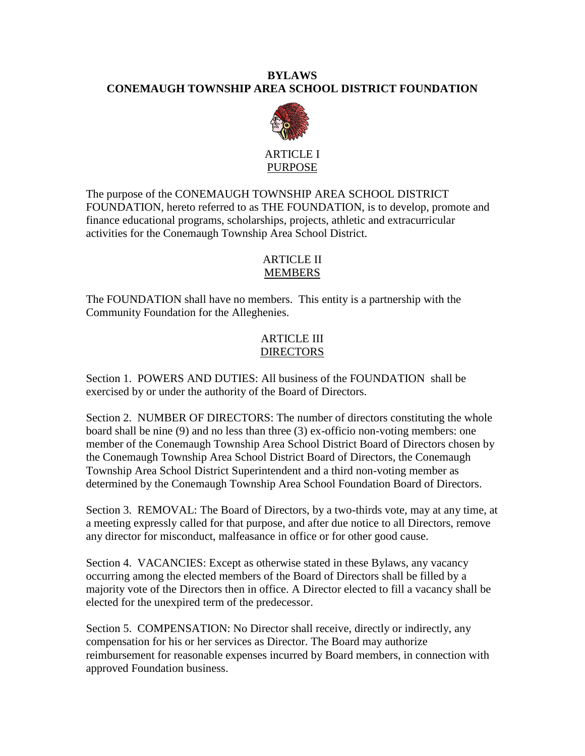### **BYLAWS CONEMAUGH TOWNSHIP AREA SCHOOL DISTRICT FOUNDATION**



#### ARTICLE I PURPOSE

The purpose of the CONEMAUGH TOWNSHIP AREA SCHOOL DISTRICT FOUNDATION, hereto referred to as THE FOUNDATION, is to develop, promote and finance educational programs, scholarships, projects, athletic and extracurricular activities for the Conemaugh Township Area School District.

# ARTICLE II MEMBERS

The FOUNDATION shall have no members. This entity is a partnership with the Community Foundation for the Alleghenies.

# ARTICLE III DIRECTORS

Section 1. POWERS AND DUTIES: All business of the FOUNDATION shall be exercised by or under the authority of the Board of Directors.

Section 2. NUMBER OF DIRECTORS: The number of directors constituting the whole board shall be nine (9) and no less than three (3) ex-officio non-voting members: one member of the Conemaugh Township Area School District Board of Directors chosen by the Conemaugh Township Area School District Board of Directors, the Conemaugh Township Area School District Superintendent and a third non-voting member as determined by the Conemaugh Township Area School Foundation Board of Directors.

Section 3. REMOVAL: The Board of Directors, by a two-thirds vote, may at any time, at a meeting expressly called for that purpose, and after due notice to all Directors, remove any director for misconduct, malfeasance in office or for other good cause.

Section 4. VACANCIES: Except as otherwise stated in these Bylaws, any vacancy occurring among the elected members of the Board of Directors shall be filled by a majority vote of the Directors then in office. A Director elected to fill a vacancy shall be elected for the unexpired term of the predecessor.

Section 5. COMPENSATION: No Director shall receive, directly or indirectly, any compensation for his or her services as Director. The Board may authorize reimbursement for reasonable expenses incurred by Board members, in connection with approved Foundation business.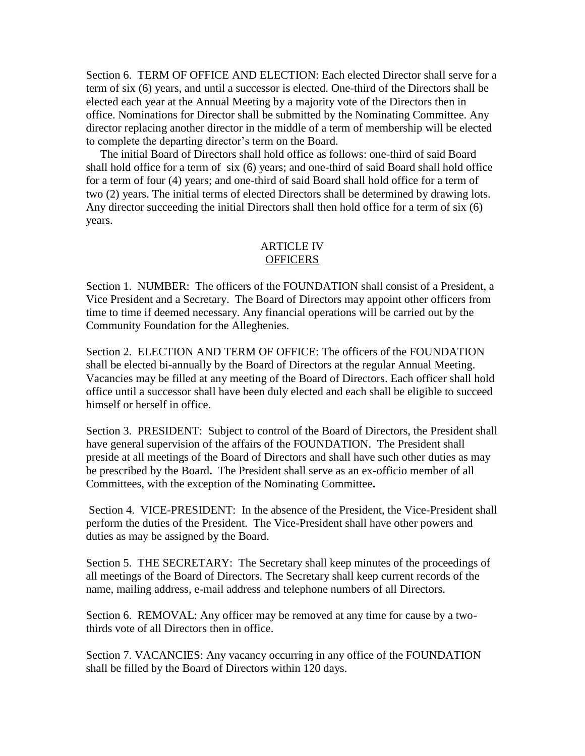Section 6. TERM OF OFFICE AND ELECTION: Each elected Director shall serve for a term of six (6) years, and until a successor is elected. One-third of the Directors shall be elected each year at the Annual Meeting by a majority vote of the Directors then in office. Nominations for Director shall be submitted by the Nominating Committee. Any director replacing another director in the middle of a term of membership will be elected to complete the departing director's term on the Board.

 The initial Board of Directors shall hold office as follows: one-third of said Board shall hold office for a term of six (6) years; and one-third of said Board shall hold office for a term of four (4) years; and one-third of said Board shall hold office for a term of two (2) years. The initial terms of elected Directors shall be determined by drawing lots. Any director succeeding the initial Directors shall then hold office for a term of six (6) years.

### ARTICLE IV **OFFICERS**

Section 1. NUMBER: The officers of the FOUNDATION shall consist of a President, a Vice President and a Secretary. The Board of Directors may appoint other officers from time to time if deemed necessary. Any financial operations will be carried out by the Community Foundation for the Alleghenies.

Section 2. ELECTION AND TERM OF OFFICE: The officers of the FOUNDATION shall be elected bi-annually by the Board of Directors at the regular Annual Meeting. Vacancies may be filled at any meeting of the Board of Directors. Each officer shall hold office until a successor shall have been duly elected and each shall be eligible to succeed himself or herself in office.

Section 3. PRESIDENT: Subject to control of the Board of Directors, the President shall have general supervision of the affairs of the FOUNDATION. The President shall preside at all meetings of the Board of Directors and shall have such other duties as may be prescribed by the Board**.** The President shall serve as an ex-officio member of all Committees, with the exception of the Nominating Committee**.** 

Section 4. VICE-PRESIDENT: In the absence of the President, the Vice-President shall perform the duties of the President. The Vice-President shall have other powers and duties as may be assigned by the Board.

Section 5. THE SECRETARY: The Secretary shall keep minutes of the proceedings of all meetings of the Board of Directors. The Secretary shall keep current records of the name, mailing address, e-mail address and telephone numbers of all Directors.

Section 6. REMOVAL: Any officer may be removed at any time for cause by a twothirds vote of all Directors then in office.

Section 7. VACANCIES: Any vacancy occurring in any office of the FOUNDATION shall be filled by the Board of Directors within 120 days.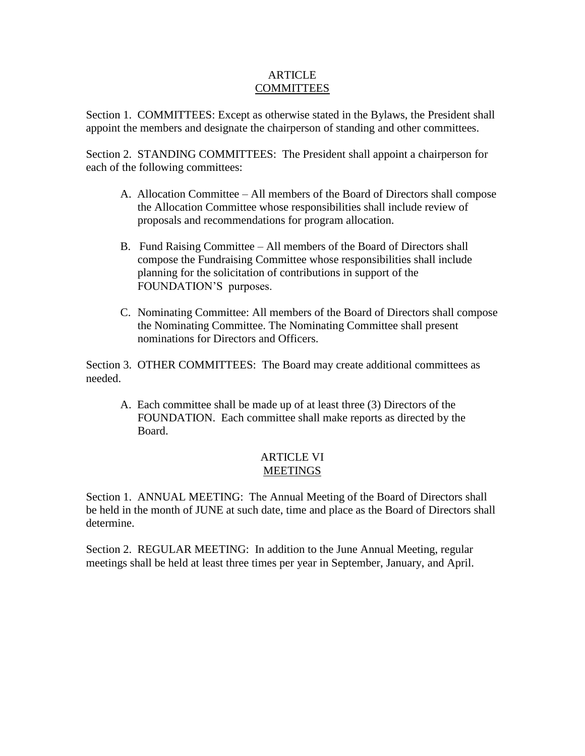### **ARTICLE** COMMITTEES

Section 1. COMMITTEES: Except as otherwise stated in the Bylaws, the President shall appoint the members and designate the chairperson of standing and other committees.

Section 2. STANDING COMMITTEES: The President shall appoint a chairperson for each of the following committees:

- A. Allocation Committee All members of the Board of Directors shall compose the Allocation Committee whose responsibilities shall include review of proposals and recommendations for program allocation.
- B. Fund Raising Committee All members of the Board of Directors shall compose the Fundraising Committee whose responsibilities shall include planning for the solicitation of contributions in support of the FOUNDATION'S purposes.
- C. Nominating Committee: All members of the Board of Directors shall compose the Nominating Committee. The Nominating Committee shall present nominations for Directors and Officers.

Section 3. OTHER COMMITTEES: The Board may create additional committees as needed.

A. Each committee shall be made up of at least three (3) Directors of the FOUNDATION. Each committee shall make reports as directed by the Board.

# ARTICLE VI **MEETINGS**

Section 1. ANNUAL MEETING: The Annual Meeting of the Board of Directors shall be held in the month of JUNE at such date, time and place as the Board of Directors shall determine.

Section 2. REGULAR MEETING: In addition to the June Annual Meeting, regular meetings shall be held at least three times per year in September, January, and April.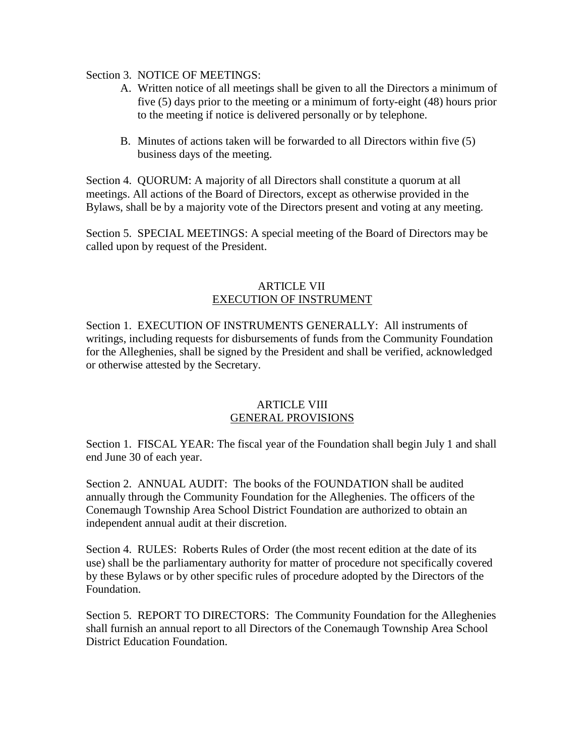Section 3. NOTICE OF MEETINGS:

- A. Written notice of all meetings shall be given to all the Directors a minimum of five (5) days prior to the meeting or a minimum of forty-eight (48) hours prior to the meeting if notice is delivered personally or by telephone.
- B. Minutes of actions taken will be forwarded to all Directors within five (5) business days of the meeting.

Section 4. QUORUM: A majority of all Directors shall constitute a quorum at all meetings. All actions of the Board of Directors, except as otherwise provided in the Bylaws, shall be by a majority vote of the Directors present and voting at any meeting.

Section 5. SPECIAL MEETINGS: A special meeting of the Board of Directors may be called upon by request of the President.

#### ARTICLE VII EXECUTION OF INSTRUMENT

Section 1. EXECUTION OF INSTRUMENTS GENERALLY: All instruments of writings, including requests for disbursements of funds from the Community Foundation for the Alleghenies, shall be signed by the President and shall be verified, acknowledged or otherwise attested by the Secretary.

### ARTICLE VIII GENERAL PROVISIONS

Section 1. FISCAL YEAR: The fiscal year of the Foundation shall begin July 1 and shall end June 30 of each year.

Section 2. ANNUAL AUDIT:The books of the FOUNDATION shall be audited annually through the Community Foundation for the Alleghenies. The officers of the Conemaugh Township Area School District Foundation are authorized to obtain an independent annual audit at their discretion.

Section 4. RULES: Roberts Rules of Order (the most recent edition at the date of its use) shall be the parliamentary authority for matter of procedure not specifically covered by these Bylaws or by other specific rules of procedure adopted by the Directors of the Foundation.

Section 5. REPORT TO DIRECTORS: The Community Foundation for the Alleghenies shall furnish an annual report to all Directors of the Conemaugh Township Area School District Education Foundation.